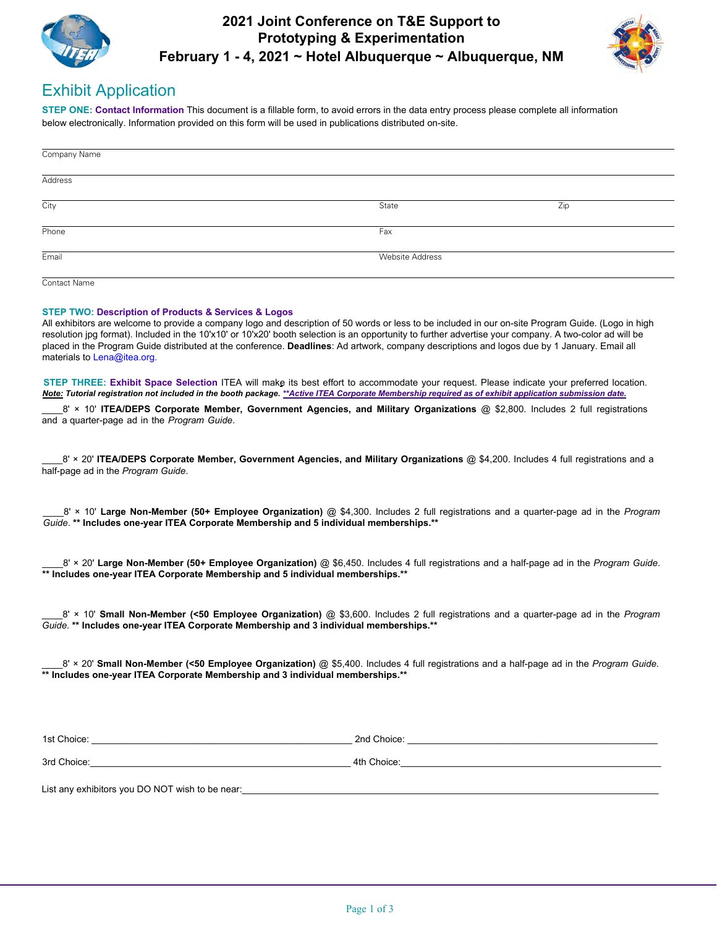

# **2021 Joint Conference on T&E Support to Prototyping & Experimentation February 1 - 4, 2021 ~ Hotel Albuquerque ~ Albuquerque, NM**



# Exhibit Application

STEP ONE: Contact Information This document is a fillable form, to avoid errors in the data entry process please complete all information below electronically. Information provided on this form will be used in publications distributed on-site.

| Company Name |                        |     |
|--------------|------------------------|-----|
| Address      |                        |     |
| City         | State                  | Zip |
| Phone        | Fax                    |     |
| Email        | <b>Website Address</b> |     |
| Contact Name |                        |     |

### **STEP TWO: Description of Products & Services & Logos**

All exhibitors are welcome to provide a company logo and description of 50 words or less to be included in our on-site Program Guide. (Logo in high resolution jpg format). Included in the 10'x10' or 10'x20' booth selection is an opportunity to further advertise your company. A two-color ad will be placed in the Program Guide distributed at the conference. **Deadlines**: Ad artwork, company descriptions and logos due by 1 January. Email all materials to Lena@itea.org.

**STEP THREE: Exhibit Space Selection ITEA** will make its best effort to accommodate your request. Please indicate your preferred location. *Note: Tutorial registration not included in the booth package. \*\*Active ITEA Corporate Membership required as of exhibit application submission date.*

8' x 10' ITEA/DEPS Corporate Member, Government Agencies, and Military Organizations @ \$2,800. Includes 2 full registrations and a quarter-page ad in the *Program Guide*.

**8** x 20' ITEA/DEPS Corporate Member, Government Agencies, and Military Organizations @ \$4,200. Includes 4 full registrations and a half-page ad in the *Program Guide*

10' **Large Non-Member (50+ Employee Organization)** @ \$4,300. Includes 2 full registrations and a quarter-page ad in the *Program* Guide. \*\* Includes one-year ITEA Corporate Membership and 5 individual memberships.\*\*

8' × 20' Large Non-Member (50+ Employee Organization) @ \$6,450. Includes 4 full registrations and a half-page ad in the *Program Guide*. \*\* Includes one-year ITEA Corporate Membership and 5 individual memberships.\*\*

8' x 10' **Small Non-Member (<50 Employee Organization)** @ \$3,600. Includes 2 full registrations and a quarter-page ad in the *Program* Guide. \*\* Includes one-year ITEA Corporate Membership and 3 individual memberships.\*\*

8' × 20' **Small Non-Member (<50 Employee Organization)** @ \$5,400. Includes 4 full registrations and a half-page ad in the *Program Guide*. \*\* Includes one-year ITEA Corporate Membership and 3 individual memberships.\*\*

3UG &hoiceBBBBBBBBBBBBBBBBBBBBBBBBBBBBBBBBBBBBBBBBB\_\_\_\_\_BBBB th &hoiceBBBBBBBBBBBBBBBBBBBBBBBBBBBBBBBBBBBBBBBBBBBBBBBBBB

Vt &hoice BBBBBBBBBBBBBBBBBBBBBBBBBBBBBBBBBBBBBBBBBBB\_\_\_\_\_BB nG &hoice BBBBBBBBBBBBBBBBBBBBBBBBBBBBBBBBBBBBBBBBBBBBBBBB

List any exhibitors you DO NOT wish to be near: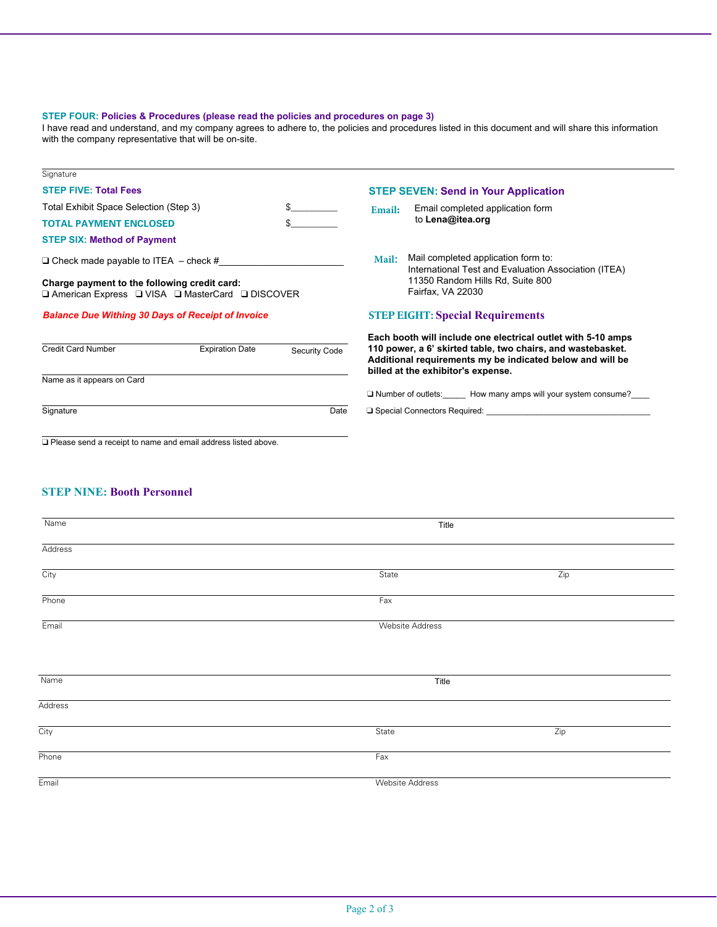# STEP FOUR: Policies & Procedures (please read the policies and procedures on page 3)

I have read and understand, and my company agrees to adhere to, the policies and procedures listed in this document and will share this information with the company representative that will be on-site.

| Signature                                                                                                |                        |               |                                                                                                                                                                |  |
|----------------------------------------------------------------------------------------------------------|------------------------|---------------|----------------------------------------------------------------------------------------------------------------------------------------------------------------|--|
| <b>STEP FIVE: Total Fees</b>                                                                             |                        |               | <b>STEP SEVEN: Send in Your Application</b>                                                                                                                    |  |
| Total Exhibit Space Selection (Step 3)                                                                   |                        | $\mathbb{S}$  | Email completed application form<br>Email:                                                                                                                     |  |
| <b>TOTAL PAYMENT ENCLOSED</b>                                                                            |                        |               | to Lena@itea.org                                                                                                                                               |  |
| <b>STEP SIX: Method of Payment</b>                                                                       |                        |               |                                                                                                                                                                |  |
| $\Box$ Check made payable to ITEA $-$ check #                                                            |                        |               | Mail completed application form to:<br><b>Mail:</b><br>International Test and Evaluation Association (ITEA)                                                    |  |
| Charge payment to the following credit card:<br><b>Q American Express Q VISA Q MasterCard Q DISCOVER</b> |                        |               | 11350 Random Hills Rd, Suite 800<br>Fairfax, VA 22030                                                                                                          |  |
| <b>Balance Due Withing 30 Days of Receipt of Invoice</b>                                                 |                        |               | <b>STEP EIGHT: Special Requirements</b>                                                                                                                        |  |
|                                                                                                          |                        |               | Each booth will include one electrical outlet with 5-10 amps                                                                                                   |  |
| <b>Credit Card Number</b>                                                                                | <b>Expiration Date</b> | Security Code | 110 power, a 6' skirted table, two chairs, and wastebasket.<br>Additional requirements my be indicated below and will be<br>billed at the exhibitor's expense. |  |
| Name as it appears on Card                                                                               |                        |               |                                                                                                                                                                |  |
|                                                                                                          |                        |               | □ Number of outlets: How many amps will your system consume?                                                                                                   |  |
| Signature                                                                                                |                        | Date          | $\Box$ Special Connectors Required:                                                                                                                            |  |
|                                                                                                          |                        |               |                                                                                                                                                                |  |
| □ Please send a receipt to name and email address listed above.                                          |                        |               |                                                                                                                                                                |  |

# **STEP NINE: Booth Personnel**

| Name    | Title                  |                  |  |  |
|---------|------------------------|------------------|--|--|
| Address |                        |                  |  |  |
| City    | State                  | $\overline{Zip}$ |  |  |
| Phone   | Fax                    |                  |  |  |
| Email   | <b>Website Address</b> |                  |  |  |
|         |                        |                  |  |  |
| Name    | Title                  |                  |  |  |
| Address |                        |                  |  |  |
| City    | State                  | Zip              |  |  |
| Phone   | Fax                    |                  |  |  |
| Email   | <b>Website Address</b> |                  |  |  |